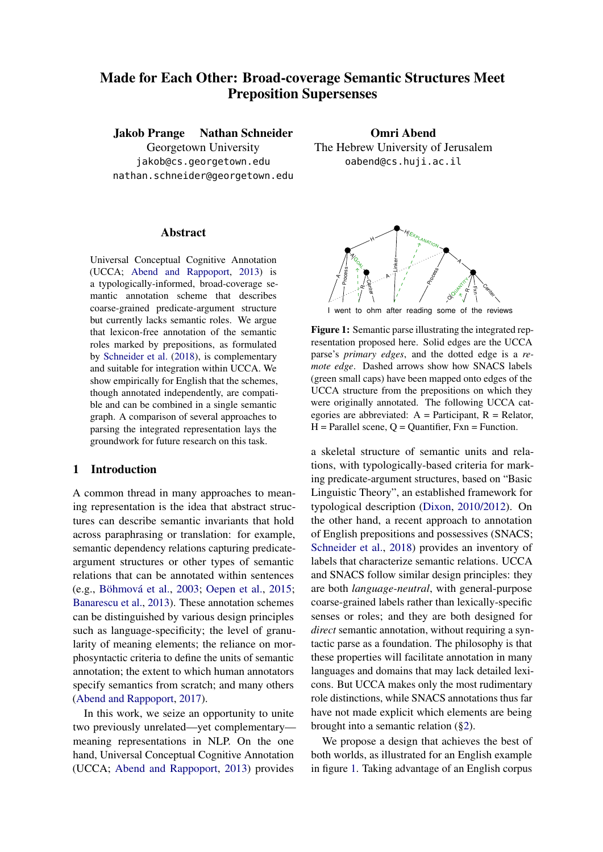# Made for Each Other: Broad-coverage Semantic Structures Meet Preposition Supersenses

Jakob Prange Nathan Schneider Georgetown University

jakob@cs.georgetown.edu nathan.schneider@georgetown.edu

#### Abstract

Universal Conceptual Cognitive Annotation (UCCA; [Abend and Rappoport,](#page-9-0) [2013\)](#page-9-0) is a typologically-informed, broad-coverage semantic annotation scheme that describes coarse-grained predicate-argument structure but currently lacks semantic roles. We argue that lexicon-free annotation of the semantic roles marked by prepositions, as formulated by [Schneider et al.](#page-10-0) [\(2018\)](#page-10-0), is complementary and suitable for integration within UCCA. We show empirically for English that the schemes, though annotated independently, are compatible and can be combined in a single semantic graph. A comparison of several approaches to parsing the integrated representation lays the groundwork for future research on this task.

## 1 Introduction

A common thread in many approaches to meaning representation is the idea that abstract structures can describe semantic invariants that hold across paraphrasing or translation: for example, semantic dependency relations capturing predicateargument structures or other types of semantic relations that can be annotated within sentences (e.g., [Böhmová et al.,](#page-9-1) [2003;](#page-9-1) [Oepen et al.,](#page-10-1) [2015;](#page-10-1) [Banarescu et al.,](#page-9-2) [2013\)](#page-9-2). These annotation schemes can be distinguished by various design principles such as language-specificity; the level of granularity of meaning elements; the reliance on morphosyntactic criteria to define the units of semantic annotation; the extent to which human annotators specify semantics from scratch; and many others [\(Abend and Rappoport,](#page-9-3) [2017\)](#page-9-3).

In this work, we seize an opportunity to unite two previously unrelated—yet complementary meaning representations in NLP. On the one hand, Universal Conceptual Cognitive Annotation (UCCA; [Abend and Rappoport,](#page-9-0) [2013\)](#page-9-0) provides

Omri Abend The Hebrew University of Jerusalem oabend@cs.huji.ac.il

<span id="page-0-0"></span>

ohm after reading some of the reviews

Figure 1: Semantic parse illustrating the integrated representation proposed here. Solid edges are the UCCA parse's *primary edges*, and the dotted edge is a *remote edge*. Dashed arrows show how SNACS labels (green small caps) have been mapped onto edges of the UCCA structure from the prepositions on which they were originally annotated. The following UCCA categories are abbreviated:  $A =$  Participant,  $R =$  Relator,  $H = \text{Parallel scene}, Q = \text{Quantifier}, \text{Fxn} = \text{Function}.$ 

a skeletal structure of semantic units and relations, with typologically-based criteria for marking predicate-argument structures, based on "Basic Linguistic Theory", an established framework for typological description [\(Dixon,](#page-9-4) [2010/2012\)](#page-9-4). On the other hand, a recent approach to annotation of English prepositions and possessives (SNACS; [Schneider et al.,](#page-10-0) [2018\)](#page-10-0) provides an inventory of labels that characterize semantic relations. UCCA and SNACS follow similar design principles: they are both *language-neutral*, with general-purpose coarse-grained labels rather than lexically-specific senses or roles; and they are both designed for *direct* semantic annotation, without requiring a syntactic parse as a foundation. The philosophy is that these properties will facilitate annotation in many languages and domains that may lack detailed lexicons. But UCCA makes only the most rudimentary role distinctions, while SNACS annotations thus far have not made explicit which elements are being brought into a semantic relation ([§2\)](#page-1-0).

We propose a design that achieves the best of both worlds, as illustrated for an English example in figure [1.](#page-0-0) Taking advantage of an English corpus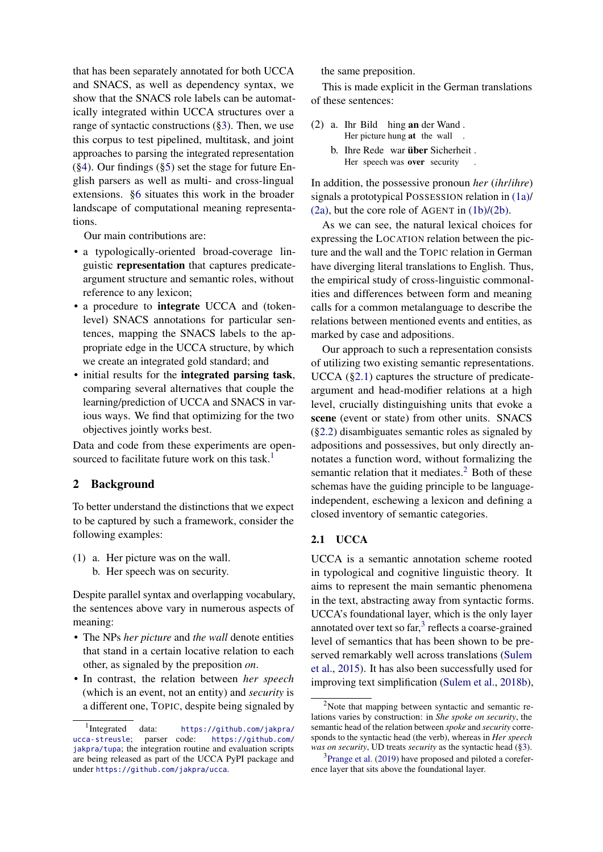that has been separately annotated for both UCCA and SNACS, as well as dependency syntax, we show that the SNACS role labels can be automatically integrated within UCCA structures over a range of syntactic constructions ([§3\)](#page-2-0). Then, we use this corpus to test pipelined, multitask, and joint approaches to parsing the integrated representation ([§4\)](#page-4-0). Our findings ([§5\)](#page-6-0) set the stage for future English parsers as well as multi- and cross-lingual extensions. [§6](#page-8-0) situates this work in the broader landscape of computational meaning representations.

Our main contributions are:

- a typologically-oriented broad-coverage linguistic representation that captures predicateargument structure and semantic roles, without reference to any lexicon;
- a procedure to **integrate** UCCA and (tokenlevel) SNACS annotations for particular sentences, mapping the SNACS labels to the appropriate edge in the UCCA structure, by which we create an integrated gold standard; and
- initial results for the integrated parsing task, comparing several alternatives that couple the learning/prediction of UCCA and SNACS in various ways. We find that optimizing for the two objectives jointly works best.

Data and code from these experiments are open-sourced to facilitate future work on this task.<sup>[1](#page-1-1)</sup>

### <span id="page-1-0"></span>2 Background

To better understand the distinctions that we expect to be captured by such a framework, consider the following examples:

- <span id="page-1-4"></span><span id="page-1-2"></span>(1) a. Her picture was on the wall.
	- b. Her speech was on security.

Despite parallel syntax and overlapping vocabulary, the sentences above vary in numerous aspects of meaning:

- The NPs *her picture* and *the wall* denote entities that stand in a certain locative relation to each other, as signaled by the preposition *on*.
- In contrast, the relation between *her speech* (which is an event, not an entity) and *security* is a different one, TOPIC, despite being signaled by

the same preposition.

This is made explicit in the German translations of these sentences:

- <span id="page-1-5"></span><span id="page-1-3"></span>(2) a. Ihr Bild hing an der Wand . Her picture hung at the wall .
	- b. Ihre Rede war über Sicherheit. Her speech was over security .

In addition, the possessive pronoun *her* (*ihr*/*ihre*) signals a prototypical POSSESSION relation in [\(1a\)/](#page-1-2) [\(2a\),](#page-1-3) but the core role of AGENT in [\(1b\)](#page-1-4)[/\(2b\).](#page-1-5)

As we can see, the natural lexical choices for expressing the LOCATION relation between the picture and the wall and the TOPIC relation in German have diverging literal translations to English. Thus, the empirical study of cross-linguistic commonalities and differences between form and meaning calls for a common metalanguage to describe the relations between mentioned events and entities, as marked by case and adpositions.

Our approach to such a representation consists of utilizing two existing semantic representations. UCCA ([§2.1\)](#page-1-6) captures the structure of predicateargument and head-modifier relations at a high level, crucially distinguishing units that evoke a scene (event or state) from other units. SNACS ([§2.2\)](#page-2-1) disambiguates semantic roles as signaled by adpositions and possessives, but only directly annotates a function word, without formalizing the semantic relation that it mediates.<sup>[2](#page-1-7)</sup> Both of these schemas have the guiding principle to be languageindependent, eschewing a lexicon and defining a closed inventory of semantic categories.

## <span id="page-1-6"></span>2.1 UCCA

UCCA is a semantic annotation scheme rooted in typological and cognitive linguistic theory. It aims to represent the main semantic phenomena in the text, abstracting away from syntactic forms. UCCA's foundational layer, which is the only layer annotated over text so  $far$ ,<sup>[3](#page-1-8)</sup> reflects a coarse-grained level of semantics that has been shown to be preserved remarkably well across translations [\(Sulem](#page-10-2) [et al.,](#page-10-2) [2015\)](#page-10-2). It has also been successfully used for improving text simplification [\(Sulem et al.,](#page-10-3) [2018b\)](#page-10-3),

<span id="page-1-1"></span><sup>&</sup>lt;sup>1</sup>Integrated data: [https://github.com/jakpra/](https://github.com/jakpra/ucca-streusle) [ucca-streusle](https://github.com/jakpra/ucca-streusle); parser code: [https://github.com/](https://github.com/jakpra/tupa) [jakpra/tupa](https://github.com/jakpra/tupa); the integration routine and evaluation scripts are being released as part of the UCCA PyPI package and under <https://github.com/jakpra/ucca>.

<span id="page-1-7"></span> $2$ Note that mapping between syntactic and semantic relations varies by construction: in *She spoke on security*, the semantic head of the relation between *spoke* and *security* corresponds to the syntactic head (the verb), whereas in *Her speech was on security*, UD treats *security* as the syntactic head ([§3\)](#page-2-0).

<span id="page-1-8"></span><sup>&</sup>lt;sup>3</sup>[Prange et al.](#page-10-4) [\(2019\)](#page-10-4) have proposed and piloted a coreference layer that sits above the foundational layer.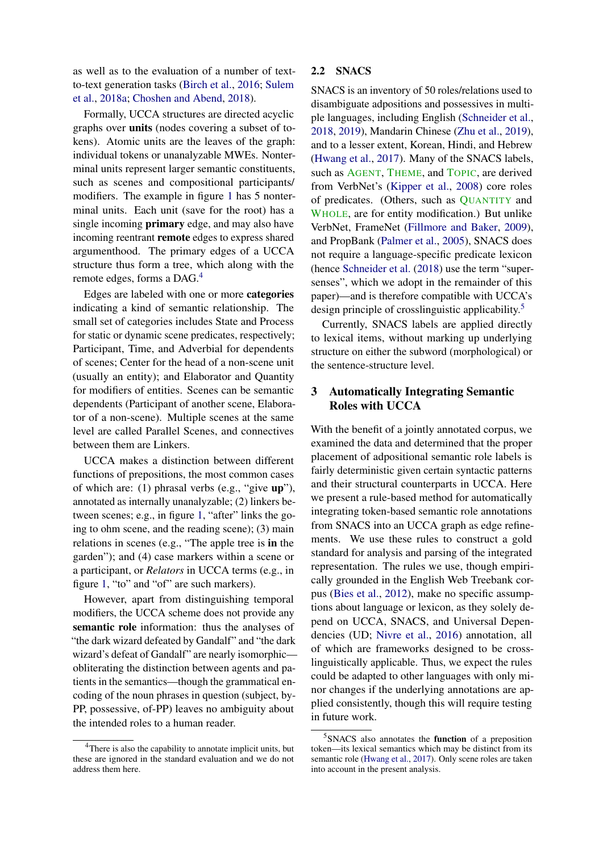as well as to the evaluation of a number of textto-text generation tasks [\(Birch et al.,](#page-9-5) [2016;](#page-9-5) [Sulem](#page-10-5) [et al.,](#page-10-5) [2018a;](#page-10-5) [Choshen and Abend,](#page-9-6) [2018\)](#page-9-6).

Formally, UCCA structures are directed acyclic graphs over units (nodes covering a subset of tokens). Atomic units are the leaves of the graph: individual tokens or unanalyzable MWEs. Nonterminal units represent larger semantic constituents, such as scenes and compositional participants/ modifiers. The example in figure [1](#page-0-0) has 5 nonterminal units. Each unit (save for the root) has a single incoming primary edge, and may also have incoming reentrant remote edges to express shared argumenthood. The primary edges of a UCCA structure thus form a tree, which along with the remote edges, forms a DAG.<sup>[4](#page-2-2)</sup>

Edges are labeled with one or more categories indicating a kind of semantic relationship. The small set of categories includes State and Process for static or dynamic scene predicates, respectively; Participant, Time, and Adverbial for dependents of scenes; Center for the head of a non-scene unit (usually an entity); and Elaborator and Quantity for modifiers of entities. Scenes can be semantic dependents (Participant of another scene, Elaborator of a non-scene). Multiple scenes at the same level are called Parallel Scenes, and connectives between them are Linkers.

UCCA makes a distinction between different functions of prepositions, the most common cases of which are: (1) phrasal verbs (e.g., "give up"), annotated as internally unanalyzable; (2) linkers between scenes; e.g., in figure [1,](#page-0-0) "after" links the going to ohm scene, and the reading scene); (3) main relations in scenes (e.g., "The apple tree is in the garden"); and (4) case markers within a scene or a participant, or *Relators* in UCCA terms (e.g., in figure [1,](#page-0-0) "to" and "of" are such markers).

However, apart from distinguishing temporal modifiers, the UCCA scheme does not provide any semantic role information: thus the analyses of "the dark wizard defeated by Gandalf" and "the dark wizard's defeat of Gandalf" are nearly isomorphic obliterating the distinction between agents and patients in the semantics—though the grammatical encoding of the noun phrases in question (subject, by-PP, possessive, of-PP) leaves no ambiguity about the intended roles to a human reader.

### <span id="page-2-1"></span>2.2 SNACS

SNACS is an inventory of 50 roles/relations used to disambiguate adpositions and possessives in multiple languages, including English [\(Schneider et al.,](#page-10-0) [2018,](#page-10-0) [2019\)](#page-10-6), Mandarin Chinese [\(Zhu et al.,](#page-11-0) [2019\)](#page-11-0), and to a lesser extent, Korean, Hindi, and Hebrew [\(Hwang et al.,](#page-9-7) [2017\)](#page-9-7). Many of the SNACS labels, such as AGENT, THEME, and TOPIC, are derived from VerbNet's [\(Kipper et al.,](#page-9-8) [2008\)](#page-9-8) core roles of predicates. (Others, such as QUANTITY and WHOLE, are for entity modification.) But unlike VerbNet, FrameNet [\(Fillmore and Baker,](#page-9-9) [2009\)](#page-9-9), and PropBank [\(Palmer et al.,](#page-10-7) [2005\)](#page-10-7), SNACS does not require a language-specific predicate lexicon (hence [Schneider et al.](#page-10-0) [\(2018\)](#page-10-0) use the term "supersenses", which we adopt in the remainder of this paper)—and is therefore compatible with UCCA's design principle of crosslinguistic applicability.<sup>[5](#page-2-3)</sup>

Currently, SNACS labels are applied directly to lexical items, without marking up underlying structure on either the subword (morphological) or the sentence-structure level.

## <span id="page-2-0"></span>3 Automatically Integrating Semantic Roles with UCCA

With the benefit of a jointly annotated corpus, we examined the data and determined that the proper placement of adpositional semantic role labels is fairly deterministic given certain syntactic patterns and their structural counterparts in UCCA. Here we present a rule-based method for automatically integrating token-based semantic role annotations from SNACS into an UCCA graph as edge refinements. We use these rules to construct a gold standard for analysis and parsing of the integrated representation. The rules we use, though empirically grounded in the English Web Treebank corpus [\(Bies et al.,](#page-9-10) [2012\)](#page-9-10), make no specific assumptions about language or lexicon, as they solely depend on UCCA, SNACS, and Universal Dependencies (UD; [Nivre et al.,](#page-10-8) [2016\)](#page-10-8) annotation, all of which are frameworks designed to be crosslinguistically applicable. Thus, we expect the rules could be adapted to other languages with only minor changes if the underlying annotations are applied consistently, though this will require testing in future work.

<span id="page-2-2"></span><sup>&</sup>lt;sup>4</sup>There is also the capability to annotate implicit units, but these are ignored in the standard evaluation and we do not address them here.

<span id="page-2-3"></span><sup>&</sup>lt;sup>5</sup> SNACS also annotates the function of a preposition token—its lexical semantics which may be distinct from its semantic role [\(Hwang et al.,](#page-9-7) [2017\)](#page-9-7). Only scene roles are taken into account in the present analysis.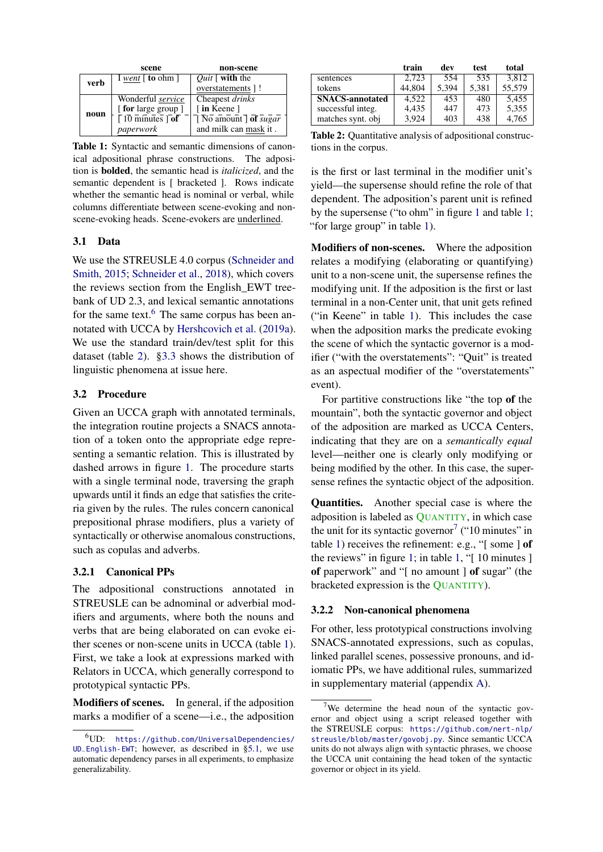<span id="page-3-2"></span>

|      | scene                           | non-scene                                        |
|------|---------------------------------|--------------------------------------------------|
| verb | I went $\lceil$ to ohm $\rceil$ | <i>Ouit</i> $\lceil$ with the                    |
|      |                                 | overstatements 1!                                |
|      | Wonderful service               | Cheapest drinks                                  |
|      | [for large group]               | [in Keene]                                       |
| noun | $\sqrt{10}$ minutes $\sqrt{of}$ | $\overline{)}$ No amount $\overline{)}$ of sugar |
|      | paperwork                       | and milk can mask it.                            |

Table 1: Syntactic and semantic dimensions of canonical adpositional phrase constructions. The adposition is bolded, the semantic head is *italicized*, and the semantic dependent is [ bracketed ]. Rows indicate whether the semantic head is nominal or verbal, while columns differentiate between scene-evoking and nonscene-evoking heads. Scene-evokers are underlined.

## 3.1 Data

We use the STREUSLE 4.0 corpus [\(Schneider and](#page-10-9) [Smith,](#page-10-9) [2015;](#page-10-9) [Schneider et al.,](#page-10-0) [2018\)](#page-10-0), which covers the reviews section from the English\_EWT treebank of UD 2.3, and lexical semantic annotations for the same text. $6$  The same corpus has been annotated with UCCA by [Hershcovich et al.](#page-9-11) [\(2019a\)](#page-9-11). We use the standard train/dev/test split for this dataset (table [2\)](#page-3-1). [§3.3](#page-4-1) shows the distribution of linguistic phenomena at issue here.

### <span id="page-3-4"></span>3.2 Procedure

Given an UCCA graph with annotated terminals, the integration routine projects a SNACS annotation of a token onto the appropriate edge representing a semantic relation. This is illustrated by dashed arrows in figure [1.](#page-0-0) The procedure starts with a single terminal node, traversing the graph upwards until it finds an edge that satisfies the criteria given by the rules. The rules concern canonical prepositional phrase modifiers, plus a variety of syntactically or otherwise anomalous constructions, such as copulas and adverbs.

#### 3.2.1 Canonical PPs

The adpositional constructions annotated in STREUSLE can be adnominal or adverbial modifiers and arguments, where both the nouns and verbs that are being elaborated on can evoke either scenes or non-scene units in UCCA (table [1\)](#page-3-2). First, we take a look at expressions marked with Relators in UCCA, which generally correspond to prototypical syntactic PPs.

Modifiers of scenes. In general, if the adposition marks a modifier of a scene—i.e., the adposition

<span id="page-3-1"></span>

|                        | train  | dev   | test  | total  |
|------------------------|--------|-------|-------|--------|
| sentences              | 2.723  | 554   | 535   | 3,812  |
| tokens                 | 44.804 | 5,394 | 5,381 | 55,579 |
| <b>SNACS-annotated</b> | 4.522  | 453   | 480   | 5,455  |
| successful integ.      | 4,435  | 447   | 473   | 5,355  |
| matches synt. obj      | 3.924  | 403   | 438   | 4,765  |

Table 2: Quantitative analysis of adpositional constructions in the corpus.

is the first or last terminal in the modifier unit's yield—the supersense should refine the role of that dependent. The adposition's parent unit is refined by the supersense ("to ohm" in figure [1](#page-0-0) and table [1;](#page-3-2) "for large group" in table [1\)](#page-3-2).

Modifiers of non-scenes. Where the adposition relates a modifying (elaborating or quantifying) unit to a non-scene unit, the supersense refines the modifying unit. If the adposition is the first or last terminal in a non-Center unit, that unit gets refined ("in Keene" in table [1\)](#page-3-2). This includes the case when the adposition marks the predicate evoking the scene of which the syntactic governor is a modifier ("with the overstatements": "Quit" is treated as an aspectual modifier of the "overstatements" event).

For partitive constructions like "the top of the mountain", both the syntactic governor and object of the adposition are marked as UCCA Centers, indicating that they are on a *semantically equal* level—neither one is clearly only modifying or being modified by the other. In this case, the supersense refines the syntactic object of the adposition.

Quantities. Another special case is where the adposition is labeled as QUANTITY, in which case the unit for its syntactic governor<sup>[7](#page-3-3)</sup> ("10 minutes" in table [1\)](#page-3-2) receives the refinement: e.g., " $\lceil$  some  $\rceil$  of the reviews" in figure [1;](#page-0-0) in table [1,](#page-3-2) "[ 10 minutes ] of paperwork" and "[ no amount ] of sugar" (the bracketed expression is the QUANTITY).

#### 3.2.2 Non-canonical phenomena

For other, less prototypical constructions involving SNACS-annotated expressions, such as copulas, linked parallel scenes, possessive pronouns, and idiomatic PPs, we have additional rules, summarized in supplementary material (appendix [A\)](#page-12-0).

<span id="page-3-0"></span> $^{6}$ UD: [https://github.com/UniversalDependencies/](https://github.com/UniversalDependencies/UD_English-EWT) [UD\\_English-EWT](https://github.com/UniversalDependencies/UD_English-EWT); however, as described in [§5.1,](#page-6-1) we use automatic dependency parses in all experiments, to emphasize generalizability.

<span id="page-3-3"></span><sup>&</sup>lt;sup>7</sup>We determine the head noun of the syntactic governor and object using a script released together with the STREUSLE corpus: [https://github.com/nert-nlp/](https://github.com/nert-nlp/streusle/blob/master/govobj.py) [streusle/blob/master/govobj.py](https://github.com/nert-nlp/streusle/blob/master/govobj.py). Since semantic UCCA units do not always align with syntactic phrases, we choose the UCCA unit containing the head token of the syntactic governor or object in its yield.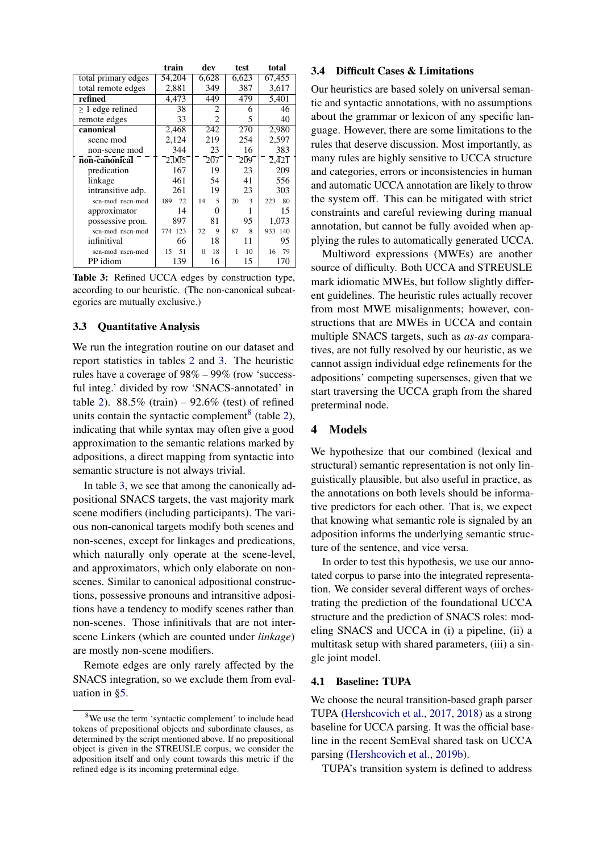<span id="page-4-2"></span>

|                       | train     | dev            | test    | total                                    |
|-----------------------|-----------|----------------|---------|------------------------------------------|
| total primary edges   | 54,204    | 6,628          | 6,623   | 67,455                                   |
| total remote edges    | 2,881     | 349            | 387     | 3,617                                    |
| refined               | 4,473     | 449            | 479     | 5,401                                    |
| $\geq 1$ edge refined | 38        | 2              | 6       | 46                                       |
| remote edges          | 33        | 2              | 5       | 40                                       |
| canonical             | 2,468     | 242            | 270     | 2,980                                    |
| scene mod             | 2,124     | 219            | 254     | 2,597                                    |
| non-scene mod         | 344       | 23             | 16      | 383                                      |
| non-canonical         | 2,005     | 207            | 209     | $\overline{2},\overline{4}2\overline{1}$ |
| predication           | 167       | 19             | 23      | 209                                      |
| linkage               | 461       | 54             | 41      | 556                                      |
| intransitive adp.     | 261       | 19             | 23      | 303                                      |
| scn-mod nscn-mod      | 189<br>72 | 5<br>14        | 20<br>3 | 80<br>223                                |
| approximator          | 14        | 0              |         | 15                                       |
| possessive pron.      | 897       | 81             | 95      | 1,073                                    |
| scn-mod nscn-mod      | 774 123   | 9<br>72        | 8<br>87 | 933 140                                  |
| infinitival           | 66        | 18             | 11      | 95                                       |
| scn-mod nscn-mod      | 51<br>15  | 18<br>$\Omega$ | 10<br>1 | 79<br>16                                 |
| PP idiom              | 139       | 16             | 15      | 170                                      |

Table 3: Refined UCCA edges by construction type, according to our heuristic. (The non-canonical subcategories are mutually exclusive.)

### <span id="page-4-1"></span>3.3 Quantitative Analysis

We run the integration routine on our dataset and report statistics in tables [2](#page-3-1) and [3.](#page-4-2) The heuristic rules have a coverage of 98% – 99% (row 'successful integ.' divided by row 'SNACS-annotated' in table [2\)](#page-3-1).  $88.5\%$  (train)  $-92.6\%$  (test) of refined units contain the syntactic complement<sup>[8](#page-4-3)</sup> (table [2\)](#page-3-1), indicating that while syntax may often give a good approximation to the semantic relations marked by adpositions, a direct mapping from syntactic into semantic structure is not always trivial.

In table [3,](#page-4-2) we see that among the canonically adpositional SNACS targets, the vast majority mark scene modifiers (including participants). The various non-canonical targets modify both scenes and non-scenes, except for linkages and predications, which naturally only operate at the scene-level, and approximators, which only elaborate on nonscenes. Similar to canonical adpositional constructions, possessive pronouns and intransitive adpositions have a tendency to modify scenes rather than non-scenes. Those infinitivals that are not interscene Linkers (which are counted under *linkage*) are mostly non-scene modifiers.

Remote edges are only rarely affected by the SNACS integration, so we exclude them from evaluation in [§5.](#page-6-0)

#### <span id="page-4-4"></span>3.4 Difficult Cases & Limitations

Our heuristics are based solely on universal semantic and syntactic annotations, with no assumptions about the grammar or lexicon of any specific language. However, there are some limitations to the rules that deserve discussion. Most importantly, as many rules are highly sensitive to UCCA structure and categories, errors or inconsistencies in human and automatic UCCA annotation are likely to throw the system off. This can be mitigated with strict constraints and careful reviewing during manual annotation, but cannot be fully avoided when applying the rules to automatically generated UCCA.

Multiword expressions (MWEs) are another source of difficulty. Both UCCA and STREUSLE mark idiomatic MWEs, but follow slightly different guidelines. The heuristic rules actually recover from most MWE misalignments; however, constructions that are MWEs in UCCA and contain multiple SNACS targets, such as *as-as* comparatives, are not fully resolved by our heuristic, as we cannot assign individual edge refinements for the adpositions' competing supersenses, given that we start traversing the UCCA graph from the shared preterminal node.

## <span id="page-4-0"></span>4 Models

We hypothesize that our combined (lexical and structural) semantic representation is not only linguistically plausible, but also useful in practice, as the annotations on both levels should be informative predictors for each other. That is, we expect that knowing what semantic role is signaled by an adposition informs the underlying semantic structure of the sentence, and vice versa.

In order to test this hypothesis, we use our annotated corpus to parse into the integrated representation. We consider several different ways of orchestrating the prediction of the foundational UCCA structure and the prediction of SNACS roles: modeling SNACS and UCCA in (i) a pipeline, (ii) a multitask setup with shared parameters, (iii) a single joint model.

#### 4.1 Baseline: TUPA

We choose the neural transition-based graph parser TUPA [\(Hershcovich et al.,](#page-9-12) [2017,](#page-9-12) [2018\)](#page-9-13) as a strong baseline for UCCA parsing. It was the official baseline in the recent SemEval shared task on UCCA parsing [\(Hershcovich et al.,](#page-9-14) [2019b\)](#page-9-14).

TUPA's transition system is defined to address

<span id="page-4-3"></span><sup>&</sup>lt;sup>8</sup>We use the term 'syntactic complement' to include head tokens of prepositional objects and subordinate clauses, as determined by the script mentioned above. If no prepositional object is given in the STREUSLE corpus, we consider the adposition itself and only count towards this metric if the refined edge is its incoming preterminal edge.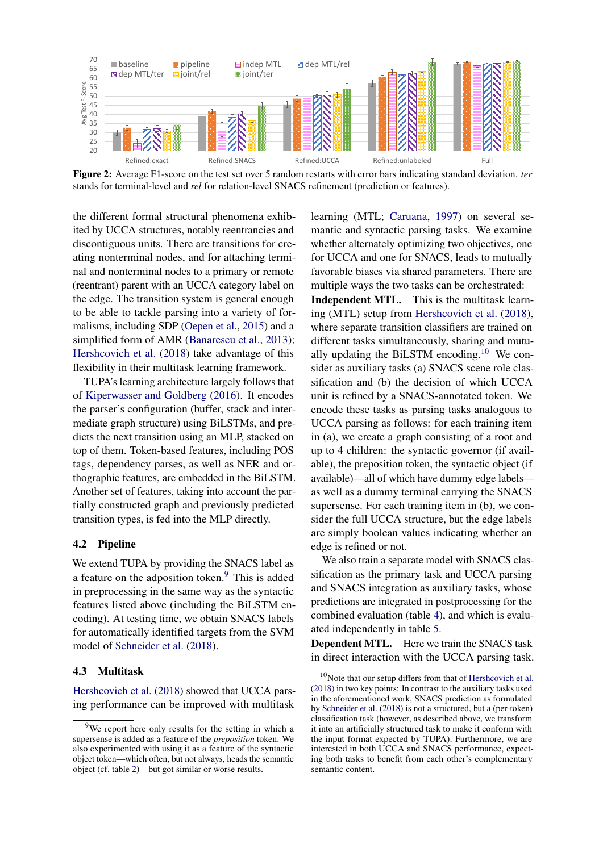<span id="page-5-4"></span>

Figure 2: Average F1-score on the test set over 5 random restarts with error bars indicating standard deviation. *ter* stands for terminal-level and *rel* for relation-level SNACS refinement (prediction or features).

the different formal structural phenomena exhibited by UCCA structures, notably reentrancies and discontiguous units. There are transitions for creating nonterminal nodes, and for attaching terminal and nonterminal nodes to a primary or remote (reentrant) parent with an UCCA category label on the edge. The transition system is general enough to be able to tackle parsing into a variety of formalisms, including SDP [\(Oepen et al.,](#page-10-1) [2015\)](#page-10-1) and a simplified form of AMR [\(Banarescu et al.,](#page-9-2) [2013\)](#page-9-2); [Hershcovich et al.](#page-9-13) [\(2018\)](#page-9-13) take advantage of this flexibility in their multitask learning framework.

TUPA's learning architecture largely follows that of [Kiperwasser and Goldberg](#page-9-15) [\(2016\)](#page-9-15). It encodes the parser's configuration (buffer, stack and intermediate graph structure) using BiLSTMs, and predicts the next transition using an MLP, stacked on top of them. Token-based features, including POS tags, dependency parses, as well as NER and orthographic features, are embedded in the BiLSTM. Another set of features, taking into account the partially constructed graph and previously predicted transition types, is fed into the MLP directly.

#### 4.2 Pipeline

We extend TUPA by providing the SNACS label as a feature on the adposition token.[9](#page-5-0) This is added in preprocessing in the same way as the syntactic features listed above (including the BiLSTM encoding). At testing time, we obtain SNACS labels for automatically identified targets from the SVM model of [Schneider et al.](#page-10-0) [\(2018\)](#page-10-0).

## <span id="page-5-3"></span>4.3 Multitask

[Hershcovich et al.](#page-9-13) [\(2018\)](#page-9-13) showed that UCCA parsing performance can be improved with multitask

learning (MTL; [Caruana,](#page-9-16) [1997\)](#page-9-16) on several semantic and syntactic parsing tasks. We examine whether alternately optimizing two objectives, one for UCCA and one for SNACS, leads to mutually favorable biases via shared parameters. There are multiple ways the two tasks can be orchestrated:

Independent MTL. This is the multitask learning (MTL) setup from [Hershcovich et al.](#page-9-13) [\(2018\)](#page-9-13), where separate transition classifiers are trained on different tasks simultaneously, sharing and mutu-ally updating the BiLSTM encoding.<sup>[10](#page-5-1)</sup> We consider as auxiliary tasks (a) SNACS scene role classification and (b) the decision of which UCCA unit is refined by a SNACS-annotated token. We encode these tasks as parsing tasks analogous to UCCA parsing as follows: for each training item in (a), we create a graph consisting of a root and up to 4 children: the syntactic governor (if available), the preposition token, the syntactic object (if available)—all of which have dummy edge labels as well as a dummy terminal carrying the SNACS supersense. For each training item in (b), we consider the full UCCA structure, but the edge labels are simply boolean values indicating whether an edge is refined or not.

We also train a separate model with SNACS classification as the primary task and UCCA parsing and SNACS integration as auxiliary tasks, whose predictions are integrated in postprocessing for the combined evaluation (table [4\)](#page-6-2), and which is evaluated independently in table [5.](#page-7-0)

<span id="page-5-2"></span>Dependent MTL. Here we train the SNACS task in direct interaction with the UCCA parsing task.

<span id="page-5-0"></span><sup>&</sup>lt;sup>9</sup>We report here only results for the setting in which a supersense is added as a feature of the *preposition* token. We also experimented with using it as a feature of the syntactic object token—which often, but not always, heads the semantic object (cf. table [2\)](#page-3-1)—but got similar or worse results.

<span id="page-5-1"></span><sup>&</sup>lt;sup>10</sup>Note that our setup differs from that of [Hershcovich et al.](#page-9-13) [\(2018\)](#page-9-13) in two key points: In contrast to the auxiliary tasks used in the aforementioned work, SNACS prediction as formulated by [Schneider et al.](#page-10-0) [\(2018\)](#page-10-0) is not a structured, but a (per-token) classification task (however, as described above, we transform it into an artificially structured task to make it conform with the input format expected by TUPA). Furthermore, we are interested in both UCCA and SNACS performance, expecting both tasks to benefit from each other's complementary semantic content.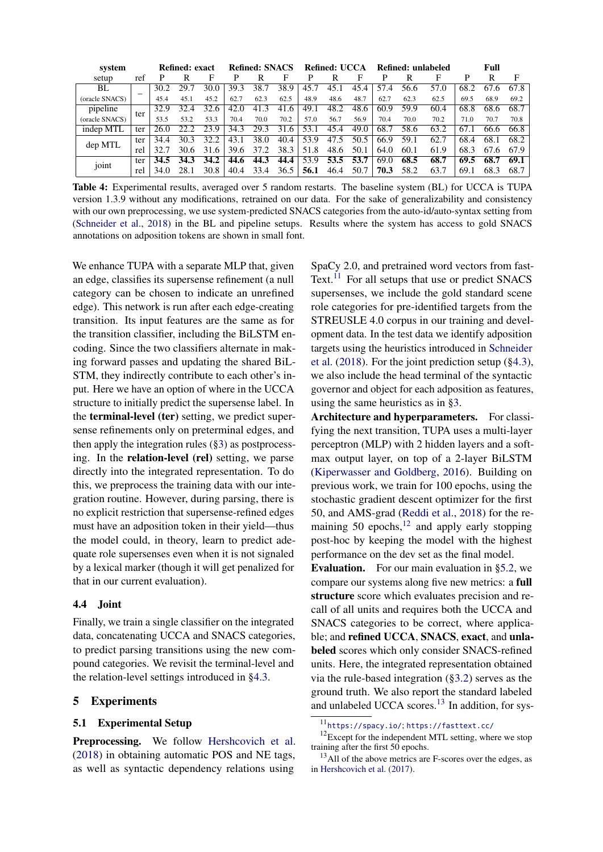<span id="page-6-2"></span>

| system          |     |      | Refined: exact |      |      | Refined: SNACS |             |      | Refined: UCCA |      |          |      | Refined: unlabeled |      | Full     |      |
|-----------------|-----|------|----------------|------|------|----------------|-------------|------|---------------|------|----------|------|--------------------|------|----------|------|
| setup           | ref |      | R              | F    | р    | R              | F           |      |               |      | р        |      | F                  | P    | R        | F    |
| BL              |     | 30.2 | 29.7           | 30.0 | 39.3 | 38.7           | 38.9        |      |               | 45   | 57<br>.4 | 56.6 | 57.0               | 68.2 | 67<br>.h | 67.8 |
| (oracle SNACS)  |     | 45.4 | 45.1           | 45.2 | 62.7 | 62.3           | 62.5        | 48.9 | 48.6          | 48.7 | 62.7     | 62.3 | 62.5               | 69.5 | 68.9     | 69.2 |
| pipeline        | ter | 32.9 | 32.4           | 32.6 | 42.0 | 41.3           | 41.6        | 49.1 | 48.2          | 48.6 | 60.9     | 59.9 | 60.4               | 68.8 | 68.6     | 68.7 |
| (oracle SNACS)  |     | 53.5 | 53.2           | 53.3 | 70.4 | 70.0           | 70.2        | 57.0 | 56.7          | 56.9 | 70.4     | 70.0 | 70.2               | 71.0 | 70.7     | 70.8 |
| indep MTL       | ter | 26.0 |                | 23.9 | 34.3 | 29.3           | 31<br>$6 -$ | 53.  | 45.4          | 49.0 | 68.7     | 58.6 | 63.2               | 67   | 66.6     | 66.8 |
| dep MTL         | ter | 34.4 | 30.3           | 32.2 | 43.1 | 38.0           | 40.4        | 53.9 | 47.5          | 50.5 | 66.9     | 59.1 | 62.7               | 68.4 | 68.1     | 68.2 |
|                 | rel | 32.7 | 30.6           | 31.6 | 39.6 | 37.2           | 38.3        | 51.8 | 48.6          | 50.1 | 64.0     | 60.1 | 61.9               | 68.3 | 67.6     | 67.9 |
| $\cdot$ $\cdot$ | ter | 34.5 | 34.3           | 34.2 | 44.6 | 44.3           | 44.4        | 53.9 | 53.5          | 53.7 | 69.0     | 68.5 | 68.7               | 69.5 | 68.7     | 69.1 |
| joint           | rel | 34.0 | 28.1           | 30.8 | 40.4 | 33.4           | 36.5        | 56.1 | 46.4          | 50.7 | 70.3     | 58.2 | 63.7               | 69.1 | 68.3     | 68.7 |

Table 4: Experimental results, averaged over 5 random restarts. The baseline system (BL) for UCCA is TUPA version 1.3.9 without any modifications, retrained on our data. For the sake of generalizability and consistency with our own preprocessing, we use system-predicted SNACS categories from the auto-id/auto-syntax setting from [\(Schneider et al.,](#page-10-0) [2018\)](#page-10-0) in the BL and pipeline setups. Results where the system has access to gold SNACS annotations on adposition tokens are shown in small font.

We enhance TUPA with a separate MLP that, given an edge, classifies its supersense refinement (a null category can be chosen to indicate an unrefined edge). This network is run after each edge-creating transition. Its input features are the same as for the transition classifier, including the BiLSTM encoding. Since the two classifiers alternate in making forward passes and updating the shared BiL-STM, they indirectly contribute to each other's input. Here we have an option of where in the UCCA structure to initially predict the supersense label. In the terminal-level (ter) setting, we predict supersense refinements only on preterminal edges, and then apply the integration rules ([§3\)](#page-2-0) as postprocessing. In the relation-level (rel) setting, we parse directly into the integrated representation. To do this, we preprocess the training data with our integration routine. However, during parsing, there is no explicit restriction that supersense-refined edges must have an adposition token in their yield—thus the model could, in theory, learn to predict adequate role supersenses even when it is not signaled by a lexical marker (though it will get penalized for that in our current evaluation).

#### 4.4 Joint

Finally, we train a single classifier on the integrated data, concatenating UCCA and SNACS categories, to predict parsing transitions using the new compound categories. We revisit the terminal-level and the relation-level settings introduced in [§4.3.](#page-5-2)

## <span id="page-6-0"></span>5 Experiments

#### <span id="page-6-1"></span>5.1 Experimental Setup

Preprocessing. We follow [Hershcovich et al.](#page-9-13) [\(2018\)](#page-9-13) in obtaining automatic POS and NE tags, as well as syntactic dependency relations using

SpaCy 2.0, and pretrained word vectors from fast-Text.<sup>[11](#page-6-3)</sup> For all setups that use or predict SNACS supersenses, we include the gold standard scene role categories for pre-identified targets from the STREUSLE 4.0 corpus in our training and development data. In the test data we identify adposition targets using the heuristics introduced in [Schneider](#page-10-0) [et al.](#page-10-0) [\(2018\)](#page-10-0). For the joint prediction setup ([§4.3\)](#page-5-3), we also include the head terminal of the syntactic governor and object for each adposition as features, using the same heuristics as in [§3.](#page-2-0)

Architecture and hyperparameters. For classifying the next transition, TUPA uses a multi-layer perceptron (MLP) with 2 hidden layers and a softmax output layer, on top of a 2-layer BiLSTM [\(Kiperwasser and Goldberg,](#page-9-15) [2016\)](#page-9-15). Building on previous work, we train for 100 epochs, using the stochastic gradient descent optimizer for the first 50, and AMS-grad [\(Reddi et al.,](#page-10-10) [2018\)](#page-10-10) for the remaining 50 epochs, $12$  and apply early stopping post-hoc by keeping the model with the highest performance on the dev set as the final model.

Evaluation. For our main evaluation in [§5.2,](#page-7-1) we compare our systems along five new metrics: a full structure score which evaluates precision and recall of all units and requires both the UCCA and SNACS categories to be correct, where applicable; and refined UCCA, SNACS, exact, and unlabeled scores which only consider SNACS-refined units. Here, the integrated representation obtained via the rule-based integration ([§3.2\)](#page-3-4) serves as the ground truth. We also report the standard labeled and unlabeled UCCA scores.<sup>[13](#page-6-5)</sup> In addition, for sys-

<sup>12</sup>Except for the independent MTL setting, where we stop training after the first 50 epochs.

<span id="page-6-4"></span><span id="page-6-3"></span><sup>11</sup><https://spacy.io/>; <https://fasttext.cc/>

<span id="page-6-5"></span> $13$ All of the above metrics are F-scores over the edges, as in [Hershcovich et al.](#page-9-12) [\(2017\)](#page-9-12).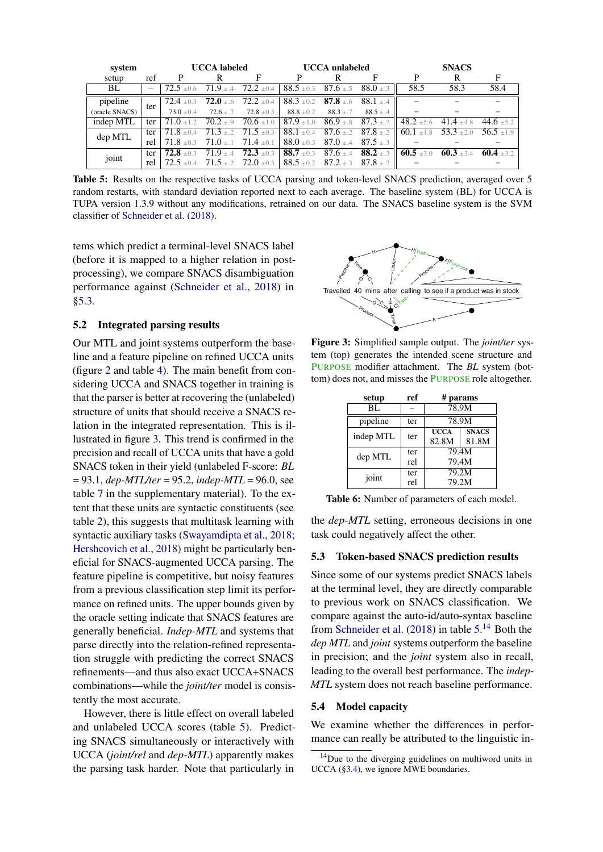<span id="page-7-0"></span>

| system         |     |                         | <b>UCCA</b> labeled          |                               |                | <b>UCCA</b> unlabeled        |                              | <b>SNACS</b>   |                               |              |  |
|----------------|-----|-------------------------|------------------------------|-------------------------------|----------------|------------------------------|------------------------------|----------------|-------------------------------|--------------|--|
| setup          | ref | P                       | R                            | F                             | P              | R                            | F                            | P              | R                             | F            |  |
| BL             |     | $72.5 \pm 0.6$          | $71.9 + 4$                   | $72.2 \pm 0.4$                | $88.5 \pm 0.3$ | $87.6 \pm .5$                | $88.0 \pm .3$                | 58.5           | 58.3                          | 58.4         |  |
| pipeline       | ter | $72.4 + 0.3$            | $72.0{\scriptstyle~ \pm .6}$ | $72.2 \pm 0.4$                | $88.3 \pm 0.2$ | $87.8{\scriptstyle~ \pm .6}$ | $88.1 \pm .4$                |                |                               |              |  |
| (oracle SNACS) |     | $73.0 + 0.4$            | $72.6 \pm .7$                | $72.8 \pm 0.5$                | $88.8 \pm 0.2$ | $88.3 \pm .7$                | $88.5 \pm .4$                |                |                               |              |  |
| indep MTL      | ter | $71.0 \pm 1.2$          | $70.2{\scriptstyle~ \pm .9}$ | $70.6 \pm 1.0$                | $87.9 \pm 1.0$ | $86.9 \pm .8$                | $87.3 \pm .7$                |                | $48.2 \pm 5.6$ $41.4 \pm 4.8$ | $44.6 + 5.2$ |  |
|                | ter | $71.8 + 0.4$            | $71.3{\scriptstyle~ \pm .2}$ | $71.5 \pm 0.3$                | $88.1 \pm 0.4$ | $87.6{\scriptstyle~ \pm .2}$ | $87.8 \pm .2$                |                | 60.1 $\pm 1.8$ 53.3 $\pm 2.0$ | $56.5 + 1.9$ |  |
| dep MTL        | rel | $71.8 + 0.3$            | $71.0 + 1$                   | $71.4 + 0.1$                  | $88.0 + 0.3$   | $87.0 + 4$                   | $87.5 + 3$                   |                |                               |              |  |
| joint          | ter | $72.8 + 0.3$            | $71.9 + 4$                   | $72.3{\scriptstyle~ \pm 0.3}$ | 88.7 $\pm 0.3$ | $87.6 \pm .4$                | $88.2{\scriptstyle~ \pm .3}$ | 60.5 $\pm 3.0$ | 60.3 $\pm$ 3.4                | $60.4 + 3.2$ |  |
|                | rel | $72.5 + 0.4$ $71.5 + 2$ |                              | $72.0 \pm 0.3$                | $88.5 \pm 0.2$ | $87.2{\scriptstyle~ \pm .3}$ | $87.8 + 2$                   |                |                               |              |  |

Table 5: Results on the respective tasks of UCCA parsing and token-level SNACS prediction, averaged over 5 random restarts, with standard deviation reported next to each average. The baseline system (BL) for UCCA is TUPA version 1.3.9 without any modifications, retrained on our data. The SNACS baseline system is the SVM classifier of [Schneider et al.](#page-10-0) [\(2018\)](#page-10-0).

tems which predict a terminal-level SNACS label (before it is mapped to a higher relation in postprocessing), we compare SNACS disambiguation performance against [\(Schneider et al.,](#page-10-0) [2018\)](#page-10-0) in [§5.3.](#page-7-2)

#### <span id="page-7-1"></span>5.2 Integrated parsing results

Our MTL and joint systems outperform the baseline and a feature pipeline on refined UCCA units (figure [2](#page-5-4) and table [4\)](#page-6-2). The main benefit from considering UCCA and SNACS together in training is that the parser is better at recovering the (unlabeled) structure of units that should receive a SNACS relation in the integrated representation. This is illustrated in figure [3.](#page-7-3) This trend is confirmed in the precision and recall of UCCA units that have a gold SNACS token in their yield (unlabeled F-score: *BL* = 93.1, *dep-MTL/ter* = 95.2, *indep-MTL* = 96.0, see table [7](#page-12-1) in the supplementary material). To the extent that these units are syntactic constituents (see table [2\)](#page-3-1), this suggests that multitask learning with syntactic auxiliary tasks [\(Swayamdipta et al.,](#page-10-11) [2018;](#page-10-11) [Hershcovich et al.,](#page-9-13) [2018\)](#page-9-13) might be particularly beneficial for SNACS-augmented UCCA parsing. The feature pipeline is competitive, but noisy features from a previous classification step limit its performance on refined units. The upper bounds given by the oracle setting indicate that SNACS features are generally beneficial. *Indep-MTL* and systems that parse directly into the relation-refined representation struggle with predicting the correct SNACS refinements—and thus also exact UCCA+SNACS combinations—while the *joint/ter* model is consistently the most accurate.

However, there is little effect on overall labeled and unlabeled UCCA scores (table [5\)](#page-7-0). Predicting SNACS simultaneously or interactively with UCCA (*joint/rel* and *dep-MTL*) apparently makes the parsing task harder. Note that particularly in

<span id="page-7-3"></span>

Figure 3: Simplified sample output. The *joint/ter* system (top) generates the intended scene structure and PURPOSE modifier attachment. The *BL* system (bottom) does not, and misses the PURPOSE role altogether.

<span id="page-7-5"></span>

| setup     | ref | # params    |              |  |  |  |
|-----------|-----|-------------|--------------|--|--|--|
| BL        |     | 78.9M       |              |  |  |  |
| pipeline  | ter | 78.9M       |              |  |  |  |
| indep MTL | ter | <b>UCCA</b> | <b>SNACS</b> |  |  |  |
|           |     | 82.8M       | 81.8M        |  |  |  |
| dep MTL   | ter | 79.4M       |              |  |  |  |
|           | rel | 79.4M       |              |  |  |  |
| joint     | ter | 79.2M       |              |  |  |  |
|           | rel | 79.2M       |              |  |  |  |

Table 6: Number of parameters of each model.

the *dep-MTL* setting, erroneous decisions in one task could negatively affect the other.

### <span id="page-7-2"></span>5.3 Token-based SNACS prediction results

Since some of our systems predict SNACS labels at the terminal level, they are directly comparable to previous work on SNACS classification. We compare against the auto-id/auto-syntax baseline from [Schneider et al.](#page-10-0)  $(2018)$  in table  $5.^{14}$  $5.^{14}$  $5.^{14}$  $5.^{14}$  Both the *dep MTL* and *joint* systems outperform the baseline in precision; and the *joint* system also in recall, leading to the overall best performance. The *indep-MTL* system does not reach baseline performance.

#### 5.4 Model capacity

We examine whether the differences in performance can really be attributed to the linguistic in-

<span id="page-7-4"></span><sup>&</sup>lt;sup>14</sup>Due to the diverging guidelines on multiword units in UCCA ([§3.4\)](#page-4-4), we ignore MWE boundaries.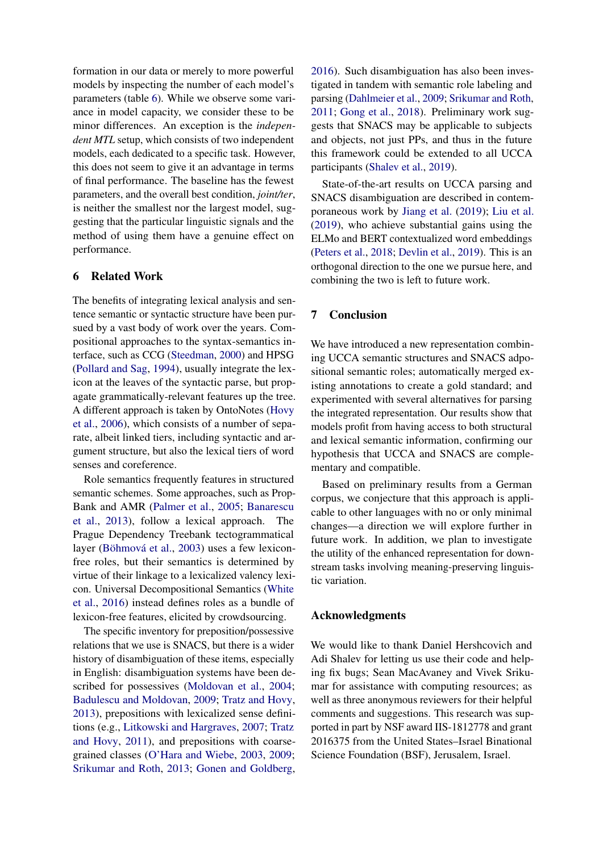formation in our data or merely to more powerful models by inspecting the number of each model's parameters (table [6\)](#page-7-5). While we observe some variance in model capacity, we consider these to be minor differences. An exception is the *independent MTL* setup, which consists of two independent models, each dedicated to a specific task. However, this does not seem to give it an advantage in terms of final performance. The baseline has the fewest parameters, and the overall best condition, *joint/ter*, is neither the smallest nor the largest model, suggesting that the particular linguistic signals and the method of using them have a genuine effect on performance.

#### <span id="page-8-0"></span>6 Related Work

The benefits of integrating lexical analysis and sentence semantic or syntactic structure have been pursued by a vast body of work over the years. Compositional approaches to the syntax-semantics interface, such as CCG [\(Steedman,](#page-10-12) [2000\)](#page-10-12) and HPSG [\(Pollard and Sag,](#page-10-13) [1994\)](#page-10-13), usually integrate the lexicon at the leaves of the syntactic parse, but propagate grammatically-relevant features up the tree. A different approach is taken by OntoNotes [\(Hovy](#page-9-17) [et al.,](#page-9-17) [2006\)](#page-9-17), which consists of a number of separate, albeit linked tiers, including syntactic and argument structure, but also the lexical tiers of word senses and coreference.

Role semantics frequently features in structured semantic schemes. Some approaches, such as Prop-Bank and AMR [\(Palmer et al.,](#page-10-7) [2005;](#page-10-7) [Banarescu](#page-9-2) [et al.,](#page-9-2) [2013\)](#page-9-2), follow a lexical approach. The Prague Dependency Treebank tectogrammatical layer [\(Böhmová et al.,](#page-9-1) [2003\)](#page-9-1) uses a few lexiconfree roles, but their semantics is determined by virtue of their linkage to a lexicalized valency lexicon. Universal Decompositional Semantics [\(White](#page-11-1) [et al.,](#page-11-1) [2016\)](#page-11-1) instead defines roles as a bundle of lexicon-free features, elicited by crowdsourcing.

The specific inventory for preposition/possessive relations that we use is SNACS, but there is a wider history of disambiguation of these items, especially in English: disambiguation systems have been described for possessives [\(Moldovan et al.,](#page-10-14) [2004;](#page-10-14) [Badulescu and Moldovan,](#page-9-18) [2009;](#page-9-18) [Tratz and Hovy,](#page-10-15) [2013\)](#page-10-15), prepositions with lexicalized sense definitions (e.g., [Litkowski and Hargraves,](#page-9-19) [2007;](#page-9-19) [Tratz](#page-10-16) [and Hovy,](#page-10-16) [2011\)](#page-10-16), and prepositions with coarsegrained classes [\(O'Hara and Wiebe,](#page-10-17) [2003,](#page-10-17) [2009;](#page-10-18) [Srikumar and Roth,](#page-10-19) [2013;](#page-10-19) [Gonen and Goldberg,](#page-9-20)

[2016\)](#page-9-20). Such disambiguation has also been investigated in tandem with semantic role labeling and parsing [\(Dahlmeier et al.,](#page-9-21) [2009;](#page-9-21) [Srikumar and Roth,](#page-10-20) [2011;](#page-10-20) [Gong et al.,](#page-9-22) [2018\)](#page-9-22). Preliminary work suggests that SNACS may be applicable to subjects and objects, not just PPs, and thus in the future this framework could be extended to all UCCA participants [\(Shalev et al.,](#page-10-21) [2019\)](#page-10-21).

State-of-the-art results on UCCA parsing and SNACS disambiguation are described in contemporaneous work by [Jiang et al.](#page-9-23) [\(2019\)](#page-9-23); [Liu et al.](#page-10-22) [\(2019\)](#page-10-22), who achieve substantial gains using the ELMo and BERT contextualized word embeddings [\(Peters et al.,](#page-10-23) [2018;](#page-10-23) [Devlin et al.,](#page-9-24) [2019\)](#page-9-24). This is an orthogonal direction to the one we pursue here, and combining the two is left to future work.

#### 7 Conclusion

We have introduced a new representation combining UCCA semantic structures and SNACS adpositional semantic roles; automatically merged existing annotations to create a gold standard; and experimented with several alternatives for parsing the integrated representation. Our results show that models profit from having access to both structural and lexical semantic information, confirming our hypothesis that UCCA and SNACS are complementary and compatible.

Based on preliminary results from a German corpus, we conjecture that this approach is applicable to other languages with no or only minimal changes—a direction we will explore further in future work. In addition, we plan to investigate the utility of the enhanced representation for downstream tasks involving meaning-preserving linguistic variation.

#### Acknowledgments

We would like to thank Daniel Hershcovich and Adi Shalev for letting us use their code and helping fix bugs; Sean MacAvaney and Vivek Srikumar for assistance with computing resources; as well as three anonymous reviewers for their helpful comments and suggestions. This research was supported in part by NSF award IIS-1812778 and grant 2016375 from the United States–Israel Binational Science Foundation (BSF), Jerusalem, Israel.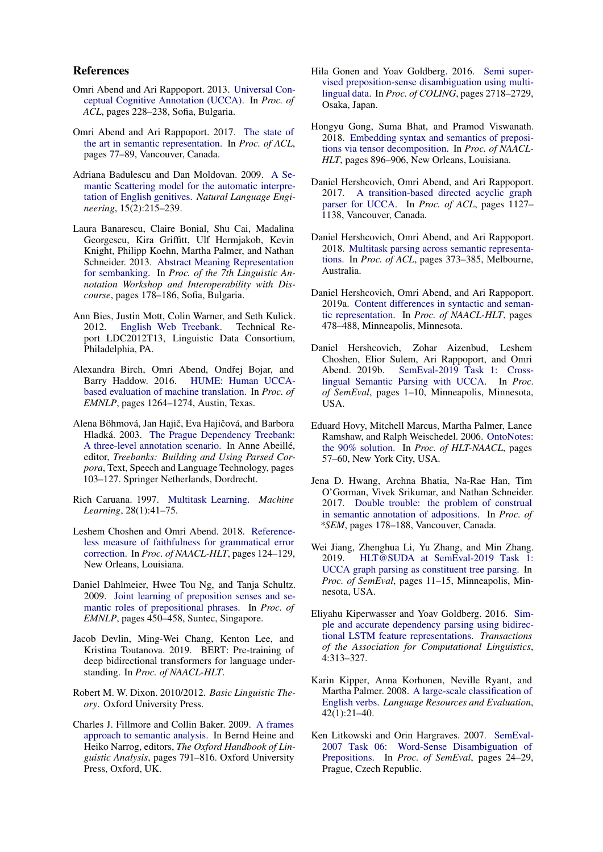#### References

- <span id="page-9-0"></span>Omri Abend and Ari Rappoport. 2013. [Universal Con](http://www.aclweb.org/anthology/P13-1023)[ceptual Cognitive Annotation \(UCCA\).](http://www.aclweb.org/anthology/P13-1023) In *Proc. of ACL*, pages 228–238, Sofia, Bulgaria.
- <span id="page-9-3"></span>Omri Abend and Ari Rappoport. 2017. [The state of](http://aclweb.org/anthology/P17-1008) [the art in semantic representation.](http://aclweb.org/anthology/P17-1008) In *Proc. of ACL*, pages 77–89, Vancouver, Canada.
- <span id="page-9-18"></span>Adriana Badulescu and Dan Moldovan. 2009. [A Se](https://www.cambridge.org/core/journals/natural-language-engineering/article/semantic-scattering-model-for-the-automatic-interpretation-of-english-genitives/577DD6FEB5840BCE509ED98C4219F722)[mantic Scattering model for the automatic interpre](https://www.cambridge.org/core/journals/natural-language-engineering/article/semantic-scattering-model-for-the-automatic-interpretation-of-english-genitives/577DD6FEB5840BCE509ED98C4219F722)[tation of English genitives.](https://www.cambridge.org/core/journals/natural-language-engineering/article/semantic-scattering-model-for-the-automatic-interpretation-of-english-genitives/577DD6FEB5840BCE509ED98C4219F722) *Natural Language Engineering*, 15(2):215–239.
- <span id="page-9-2"></span>Laura Banarescu, Claire Bonial, Shu Cai, Madalina Georgescu, Kira Griffitt, Ulf Hermjakob, Kevin Knight, Philipp Koehn, Martha Palmer, and Nathan Schneider. 2013. [Abstract Meaning Representation](http://www.aclweb.org/anthology/W13-2322) [for sembanking.](http://www.aclweb.org/anthology/W13-2322) In *Proc. of the 7th Linguistic Annotation Workshop and Interoperability with Discourse*, pages 178–186, Sofia, Bulgaria.
- <span id="page-9-10"></span>Ann Bies, Justin Mott, Colin Warner, and Seth Kulick. 2012. [English Web Treebank.](http://www.ldc.upenn.edu/Catalog/catalogEntry.jsp?catalogId=LDC2012T13) Technical Report LDC2012T13, Linguistic Data Consortium, Philadelphia, PA.
- <span id="page-9-5"></span>Alexandra Birch, Omri Abend, Ondřej Bojar, and Barry Haddow. 2016. [HUME: Human UCCA](https://aclweb.org/anthology/D16-1134)[based evaluation of machine translation.](https://aclweb.org/anthology/D16-1134) In *Proc. of EMNLP*, pages 1264–1274, Austin, Texas.
- <span id="page-9-1"></span>Alena Böhmová, Jan Hajič, Eva Hajičová, and Barbora Hladká. 2003. [The Prague Dependency Treebank:](https://doi.org/10.1007/978-94-010-0201-1_7) [A three-level annotation scenario.](https://doi.org/10.1007/978-94-010-0201-1_7) In Anne Abeillé, editor, *Treebanks: Building and Using Parsed Corpora*, Text, Speech and Language Technology, pages 103–127. Springer Netherlands, Dordrecht.
- <span id="page-9-16"></span>Rich Caruana. 1997. [Multitask Learning.](https://doi.org/10.1023/A:1007379606734) *Machine Learning*, 28(1):41–75.
- <span id="page-9-6"></span>Leshem Choshen and Omri Abend. 2018. [Reference](http://aclweb.org/anthology/N18-2020)[less measure of faithfulness for grammatical error](http://aclweb.org/anthology/N18-2020) [correction.](http://aclweb.org/anthology/N18-2020) In *Proc. of NAACL-HLT*, pages 124–129, New Orleans, Louisiana.
- <span id="page-9-21"></span>Daniel Dahlmeier, Hwee Tou Ng, and Tanja Schultz. 2009. [Joint learning of preposition senses and se](http://www.aclweb.org/anthology/D09-1047)[mantic roles of prepositional phrases.](http://www.aclweb.org/anthology/D09-1047) In *Proc. of EMNLP*, pages 450–458, Suntec, Singapore.
- <span id="page-9-24"></span>Jacob Devlin, Ming-Wei Chang, Kenton Lee, and Kristina Toutanova. 2019. BERT: Pre-training of deep bidirectional transformers for language understanding. In *Proc. of NAACL-HLT*.
- <span id="page-9-4"></span>Robert M. W. Dixon. 2010/2012. *Basic Linguistic Theory*. Oxford University Press.
- <span id="page-9-9"></span>Charles J. Fillmore and Collin Baker. 2009. [A frames](http://lingo.stanford.edu/sag/papers/Fillmore-Baker-2011.pdf) [approach to semantic analysis.](http://lingo.stanford.edu/sag/papers/Fillmore-Baker-2011.pdf) In Bernd Heine and Heiko Narrog, editors, *The Oxford Handbook of Linguistic Analysis*, pages 791–816. Oxford University Press, Oxford, UK.
- <span id="page-9-20"></span>Hila Gonen and Yoav Goldberg. 2016. [Semi super](http://aclweb.org/anthology/C16-1256)[vised preposition-sense disambiguation using multi](http://aclweb.org/anthology/C16-1256)[lingual data.](http://aclweb.org/anthology/C16-1256) In *Proc. of COLING*, pages 2718–2729, Osaka, Japan.
- <span id="page-9-22"></span>Hongyu Gong, Suma Bhat, and Pramod Viswanath. 2018. [Embedding syntax and semantics of preposi](http://aclweb.org/anthology/N18-1082)[tions via tensor decomposition.](http://aclweb.org/anthology/N18-1082) In *Proc. of NAACL-HLT*, pages 896–906, New Orleans, Louisiana.
- <span id="page-9-12"></span>Daniel Hershcovich, Omri Abend, and Ari Rappoport. 2017. [A transition-based directed acyclic graph](http://aclweb.org/anthology/P17-1104) [parser for UCCA.](http://aclweb.org/anthology/P17-1104) In *Proc. of ACL*, pages 1127– 1138, Vancouver, Canada.
- <span id="page-9-13"></span>Daniel Hershcovich, Omri Abend, and Ari Rappoport. 2018. [Multitask parsing across semantic representa](http://aclweb.org/anthology/P18-1035)[tions.](http://aclweb.org/anthology/P18-1035) In *Proc. of ACL*, pages 373–385, Melbourne, Australia.
- <span id="page-9-11"></span>Daniel Hershcovich, Omri Abend, and Ari Rappoport. 2019a. [Content differences in syntactic and seman](https://www.aclweb.org/anthology/N19-1047)[tic representation.](https://www.aclweb.org/anthology/N19-1047) In *Proc. of NAACL-HLT*, pages 478–488, Minneapolis, Minnesota.
- <span id="page-9-14"></span>Daniel Hershcovich, Zohar Aizenbud, Leshem Choshen, Elior Sulem, Ari Rappoport, and Omri [SemEval-2019 Task 1: Cross](https://www.aclweb.org/anthology/S19-2001)[lingual Semantic Parsing with UCCA.](https://www.aclweb.org/anthology/S19-2001) In *Proc. of SemEval*, pages 1–10, Minneapolis, Minnesota, USA.
- <span id="page-9-17"></span>Eduard Hovy, Mitchell Marcus, Martha Palmer, Lance Ramshaw, and Ralph Weischedel. 2006. [OntoNotes:](http://www.aclweb.org/anthology/N06-2015) [the 90% solution.](http://www.aclweb.org/anthology/N06-2015) In *Proc. of HLT-NAACL*, pages 57–60, New York City, USA.
- <span id="page-9-7"></span>Jena D. Hwang, Archna Bhatia, Na-Rae Han, Tim O'Gorman, Vivek Srikumar, and Nathan Schneider. 2017. [Double trouble: the problem of construal](http://www.aclweb.org/anthology/S17-1022) [in semantic annotation of adpositions.](http://www.aclweb.org/anthology/S17-1022) In *Proc. of \*SEM*, pages 178–188, Vancouver, Canada.
- <span id="page-9-23"></span>Wei Jiang, Zhenghua Li, Yu Zhang, and Min Zhang. 2019. [HLT@SUDA at SemEval-2019 Task 1:](https://www.aclweb.org/anthology/S19-2002) [UCCA graph parsing as constituent tree parsing.](https://www.aclweb.org/anthology/S19-2002) In *Proc. of SemEval*, pages 11–15, Minneapolis, Minnesota, USA.
- <span id="page-9-15"></span>Eliyahu Kiperwasser and Yoav Goldberg. 2016. [Sim](https://www.aclweb.org/anthology/Q16-1023)[ple and accurate dependency parsing using bidirec](https://www.aclweb.org/anthology/Q16-1023)[tional LSTM feature representations.](https://www.aclweb.org/anthology/Q16-1023) *Transactions of the Association for Computational Linguistics*, 4:313–327.
- <span id="page-9-8"></span>Karin Kipper, Anna Korhonen, Neville Ryant, and Martha Palmer. 2008. [A large-scale classification of](http://link.springer.com/article/10.1007/s10579-007-9048-2) [English verbs.](http://link.springer.com/article/10.1007/s10579-007-9048-2) *Language Resources and Evaluation*, 42(1):21–40.
- <span id="page-9-19"></span>Ken Litkowski and Orin Hargraves. 2007. [SemEval-](http://www.aclweb.org/anthology/S07-1005)[2007 Task 06: Word-Sense Disambiguation of](http://www.aclweb.org/anthology/S07-1005) [Prepositions.](http://www.aclweb.org/anthology/S07-1005) In *Proc. of SemEval*, pages 24–29, Prague, Czech Republic.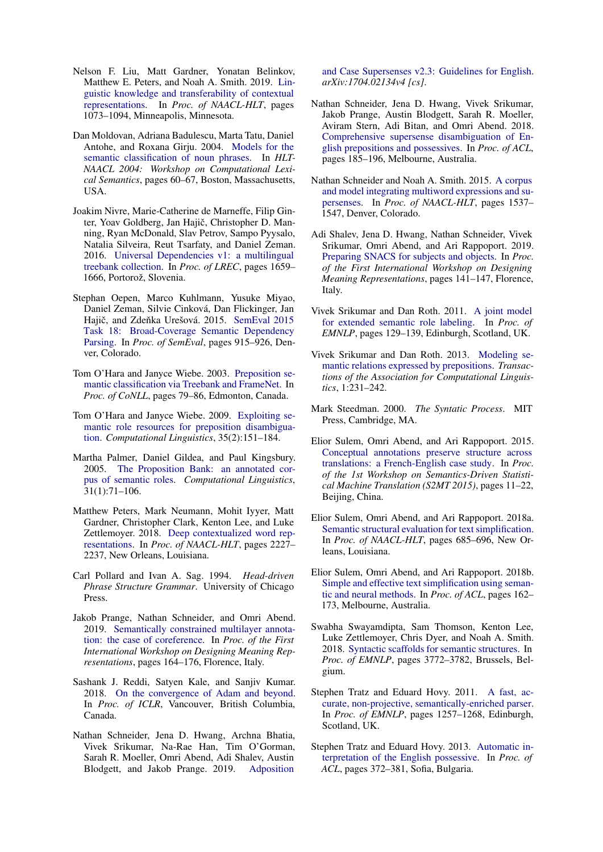- <span id="page-10-22"></span>Nelson F. Liu, Matt Gardner, Yonatan Belinkov, Matthew E. Peters, and Noah A. Smith. 2019. [Lin](https://www.aclweb.org/anthology/N19-1112)[guistic knowledge and transferability of contextual](https://www.aclweb.org/anthology/N19-1112) [representations.](https://www.aclweb.org/anthology/N19-1112) In *Proc. of NAACL-HLT*, pages 1073–1094, Minneapolis, Minnesota.
- <span id="page-10-14"></span>Dan Moldovan, Adriana Badulescu, Marta Tatu, Daniel Antohe, and Roxana Girju. 2004. [Models for the](http://aclweb.org/anthology/W04-2609) [semantic classification of noun phrases.](http://aclweb.org/anthology/W04-2609) In *HLT-NAACL 2004: Workshop on Computational Lexical Semantics*, pages 60–67, Boston, Massachusetts, USA.
- <span id="page-10-8"></span>Joakim Nivre, Marie-Catherine de Marneffe, Filip Ginter, Yoav Goldberg, Jan Hajič, Christopher D. Manning, Ryan McDonald, Slav Petrov, Sampo Pyysalo, Natalia Silveira, Reut Tsarfaty, and Daniel Zeman. 2016. [Universal Dependencies v1: a multilingual](http://www.lrec-conf.org/proceedings/lrec2016/pdf/348_Paper.pdf) [treebank collection.](http://www.lrec-conf.org/proceedings/lrec2016/pdf/348_Paper.pdf) In *Proc. of LREC*, pages 1659– 1666, Portorož, Slovenia.
- <span id="page-10-1"></span>Stephan Oepen, Marco Kuhlmann, Yusuke Miyao, Daniel Zeman, Silvie Cinková, Dan Flickinger, Jan Hajič, and Zdeňka Urešová. 2015. [SemEval 2015](https://aclweb.org/anthology/S15-2153) [Task 18: Broad-Coverage Semantic Dependency](https://aclweb.org/anthology/S15-2153) [Parsing.](https://aclweb.org/anthology/S15-2153) In *Proc. of SemEval*, pages 915–926, Denver, Colorado.
- <span id="page-10-17"></span>Tom O'Hara and Janyce Wiebe. 2003. [Preposition se](http://www.aclweb.org/anthology/W03-0411)[mantic classification via Treebank and FrameNet.](http://www.aclweb.org/anthology/W03-0411) In *Proc. of CoNLL*, pages 79–86, Edmonton, Canada.
- <span id="page-10-18"></span>Tom O'Hara and Janyce Wiebe. 2009. [Exploiting se](http://www.aclweb.org/anthology/J09-2002)[mantic role resources for preposition disambigua](http://www.aclweb.org/anthology/J09-2002)[tion.](http://www.aclweb.org/anthology/J09-2002) *Computational Linguistics*, 35(2):151–184.
- <span id="page-10-7"></span>Martha Palmer, Daniel Gildea, and Paul Kingsbury. 2005. [The Proposition Bank: an annotated cor](http://dx.doi.org/10.1162/0891201053630264)[pus of semantic roles.](http://dx.doi.org/10.1162/0891201053630264) *Computational Linguistics*, 31(1):71–106.
- <span id="page-10-23"></span>Matthew Peters, Mark Neumann, Mohit Iyyer, Matt Gardner, Christopher Clark, Kenton Lee, and Luke Zettlemoyer. 2018. [Deep contextualized word rep](http://aclweb.org/anthology/N18-1202)[resentations.](http://aclweb.org/anthology/N18-1202) In *Proc. of NAACL-HLT*, pages 2227– 2237, New Orleans, Louisiana.
- <span id="page-10-13"></span>Carl Pollard and Ivan A. Sag. 1994. *Head-driven Phrase Structure Grammar*. University of Chicago Press.
- <span id="page-10-4"></span>Jakob Prange, Nathan Schneider, and Omri Abend. 2019. [Semantically constrained multilayer annota](https://www.aclweb.org/anthology/W19-3319)[tion: the case of coreference.](https://www.aclweb.org/anthology/W19-3319) In *Proc. of the First International Workshop on Designing Meaning Representations*, pages 164–176, Florence, Italy.
- <span id="page-10-10"></span>Sashank J. Reddi, Satyen Kale, and Sanjiv Kumar. 2018. [On the convergence of Adam and beyond.](https://openreview.net/forum?id=ryQu7f-RZ) In *Proc. of ICLR*, Vancouver, British Columbia, Canada.
- <span id="page-10-6"></span>Nathan Schneider, Jena D. Hwang, Archna Bhatia, Vivek Srikumar, Na-Rae Han, Tim O'Gorman, Sarah R. Moeller, Omri Abend, Adi Shalev, Austin Blodgett, and Jakob Prange. 2019. [Adposition](https://arxiv.org/abs/1704.02134v4)

[and Case Supersenses v2.3: Guidelines for English.](https://arxiv.org/abs/1704.02134v4) *arXiv:1704.02134v4 [cs]*.

- <span id="page-10-0"></span>Nathan Schneider, Jena D. Hwang, Vivek Srikumar, Jakob Prange, Austin Blodgett, Sarah R. Moeller, Aviram Stern, Adi Bitan, and Omri Abend. 2018. [Comprehensive supersense disambiguation of En](http://aclweb.org/anthology/P18-1018)[glish prepositions and possessives.](http://aclweb.org/anthology/P18-1018) In *Proc. of ACL*, pages 185–196, Melbourne, Australia.
- <span id="page-10-9"></span>Nathan Schneider and Noah A. Smith. 2015. [A corpus](http://www.aclweb.org/anthology/N15-1177) [and model integrating multiword expressions and su](http://www.aclweb.org/anthology/N15-1177)[persenses.](http://www.aclweb.org/anthology/N15-1177) In *Proc. of NAACL-HLT*, pages 1537– 1547, Denver, Colorado.
- <span id="page-10-21"></span>Adi Shalev, Jena D. Hwang, Nathan Schneider, Vivek Srikumar, Omri Abend, and Ari Rappoport. 2019. [Preparing SNACS for subjects and objects.](https://www.aclweb.org/anthology/W19-3316) In *Proc. of the First International Workshop on Designing Meaning Representations*, pages 141–147, Florence, Italy.
- <span id="page-10-20"></span>Vivek Srikumar and Dan Roth. 2011. [A joint model](http://www.aclweb.org/anthology/D11-1012) [for extended semantic role labeling.](http://www.aclweb.org/anthology/D11-1012) In *Proc. of EMNLP*, pages 129–139, Edinburgh, Scotland, UK.
- <span id="page-10-19"></span>Vivek Srikumar and Dan Roth. 2013. [Modeling se](https://www.aclweb.org/anthology/Q13-1019)[mantic relations expressed by prepositions.](https://www.aclweb.org/anthology/Q13-1019) *Transactions of the Association for Computational Linguistics*, 1:231–242.
- <span id="page-10-12"></span>Mark Steedman. 2000. *The Syntatic Process*. MIT Press, Cambridge, MA.
- <span id="page-10-2"></span>Elior Sulem, Omri Abend, and Ari Rappoport. 2015. [Conceptual annotations preserve structure across](http://www.aclweb.org/anthology/W15-3502) [translations: a French-English case study.](http://www.aclweb.org/anthology/W15-3502) In *Proc. of the 1st Workshop on Semantics-Driven Statistical Machine Translation (S2MT 2015)*, pages 11–22, Beijing, China.
- <span id="page-10-5"></span>Elior Sulem, Omri Abend, and Ari Rappoport. 2018a. [Semantic structural evaluation for text simplification.](http://aclweb.org/anthology/N18-1063) In *Proc. of NAACL-HLT*, pages 685–696, New Orleans, Louisiana.
- <span id="page-10-3"></span>Elior Sulem, Omri Abend, and Ari Rappoport. 2018b. [Simple and effective text simplification using seman](http://aclweb.org/anthology/P18-1016)[tic and neural methods.](http://aclweb.org/anthology/P18-1016) In *Proc. of ACL*, pages 162– 173, Melbourne, Australia.
- <span id="page-10-11"></span>Swabha Swayamdipta, Sam Thomson, Kenton Lee, Luke Zettlemoyer, Chris Dyer, and Noah A. Smith. 2018. [Syntactic scaffolds for semantic structures.](http://aclweb.org/anthology/D18-1412) In *Proc. of EMNLP*, pages 3772–3782, Brussels, Belgium.
- <span id="page-10-16"></span>Stephen Tratz and Eduard Hovy. 2011. [A fast, ac](http://www.aclweb.org/anthology/D11-1116)[curate, non-projective, semantically-enriched parser.](http://www.aclweb.org/anthology/D11-1116) In *Proc. of EMNLP*, pages 1257–1268, Edinburgh, Scotland, UK.
- <span id="page-10-15"></span>Stephen Tratz and Eduard Hovy. 2013. [Automatic in](http://www.aclweb.org/anthology/P13-1037)[terpretation of the English possessive.](http://www.aclweb.org/anthology/P13-1037) In *Proc. of ACL*, pages 372–381, Sofia, Bulgaria.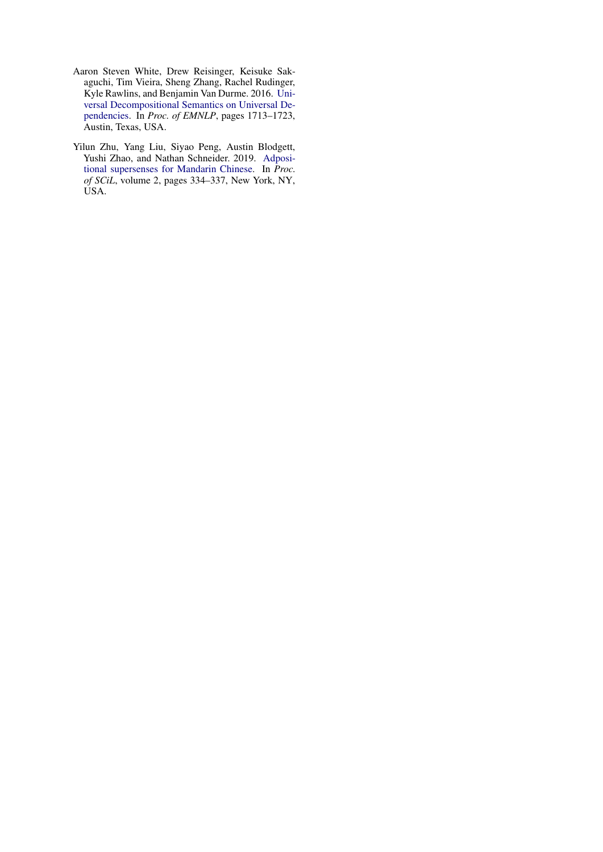- <span id="page-11-1"></span>Aaron Steven White, Drew Reisinger, Keisuke Sakaguchi, Tim Vieira, Sheng Zhang, Rachel Rudinger, Kyle Rawlins, and Benjamin Van Durme. 2016. [Uni](https://aclweb.org/anthology/D16-1177)[versal Decompositional Semantics on Universal De](https://aclweb.org/anthology/D16-1177)[pendencies.](https://aclweb.org/anthology/D16-1177) In *Proc. of EMNLP*, pages 1713–1723, Austin, Texas, USA.
- <span id="page-11-0"></span>Yilun Zhu, Yang Liu, Siyao Peng, Austin Blodgett, Yushi Zhao, and Nathan Schneider. 2019. [Adposi](https://scholarworks.umass.edu/scil/vol2/iss1/40)[tional supersenses for Mandarin Chinese.](https://scholarworks.umass.edu/scil/vol2/iss1/40) In *Proc. of SCiL*, volume 2, pages 334–337, New York, NY, USA.